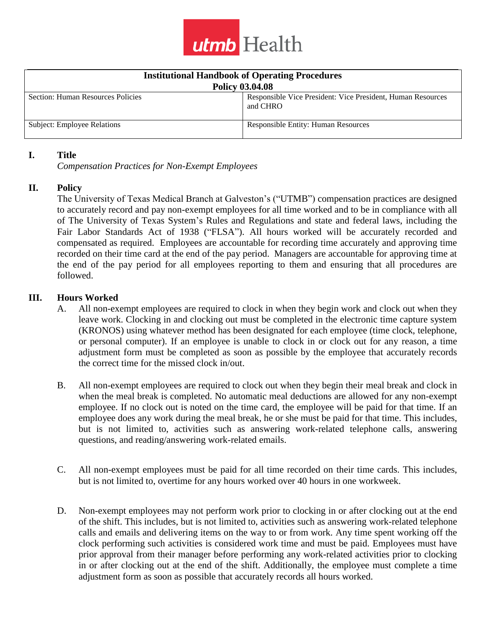

| <b>Institutional Handbook of Operating Procedures</b><br><b>Policy 03.04.08</b> |                                                                         |
|---------------------------------------------------------------------------------|-------------------------------------------------------------------------|
| Section: Human Resources Policies                                               | Responsible Vice President: Vice President, Human Resources<br>and CHRO |
| Subject: Employee Relations                                                     | <b>Responsible Entity: Human Resources</b>                              |

### **I. Title**

*Compensation Practices for Non-Exempt Employees*

## **II. Policy**

The University of Texas Medical Branch at Galveston's ("UTMB") compensation practices are designed to accurately record and pay non-exempt employees for all time worked and to be in compliance with all of The University of Texas System's Rules and Regulations and state and federal laws, including the Fair Labor Standards Act of 1938 ("FLSA"). All hours worked will be accurately recorded and compensated as required. Employees are accountable for recording time accurately and approving time recorded on their time card at the end of the pay period. Managers are accountable for approving time at the end of the pay period for all employees reporting to them and ensuring that all procedures are followed.

## **III. Hours Worked**

- A. All non-exempt employees are required to clock in when they begin work and clock out when they leave work. Clocking in and clocking out must be completed in the electronic time capture system (KRONOS) using whatever method has been designated for each employee (time clock, telephone, or personal computer). If an employee is unable to clock in or clock out for any reason, a time adjustment form must be completed as soon as possible by the employee that accurately records the correct time for the missed clock in/out.
- B. All non-exempt employees are required to clock out when they begin their meal break and clock in when the meal break is completed. No automatic meal deductions are allowed for any non-exempt employee. If no clock out is noted on the time card, the employee will be paid for that time. If an employee does any work during the meal break, he or she must be paid for that time. This includes, but is not limited to, activities such as answering work-related telephone calls, answering questions, and reading/answering work-related emails.
- C. All non-exempt employees must be paid for all time recorded on their time cards. This includes, but is not limited to, overtime for any hours worked over 40 hours in one workweek.
- D. Non-exempt employees may not perform work prior to clocking in or after clocking out at the end of the shift. This includes, but is not limited to, activities such as answering work-related telephone calls and emails and delivering items on the way to or from work. Any time spent working off the clock performing such activities is considered work time and must be paid. Employees must have prior approval from their manager before performing any work-related activities prior to clocking in or after clocking out at the end of the shift. Additionally, the employee must complete a time adjustment form as soon as possible that accurately records all hours worked.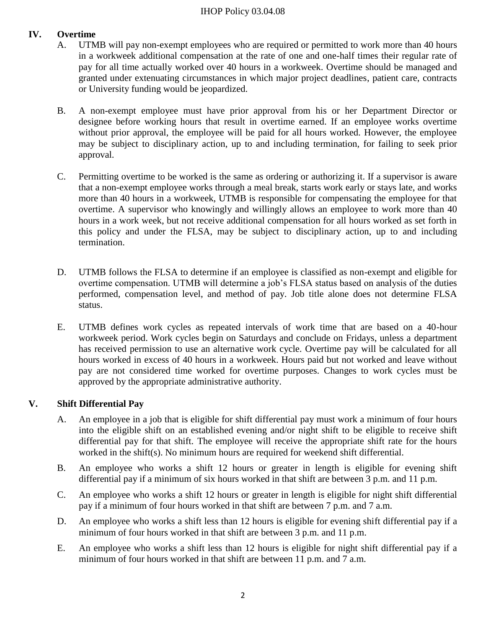## IHOP Policy 03.04.08

# **IV. Overtime**

- A. UTMB will pay non-exempt employees who are required or permitted to work more than 40 hours in a workweek additional compensation at the rate of one and one-half times their regular rate of pay for all time actually worked over 40 hours in a workweek. Overtime should be managed and granted under extenuating circumstances in which major project deadlines, patient care, contracts or University funding would be jeopardized.
- B. A non-exempt employee must have prior approval from his or her Department Director or designee before working hours that result in overtime earned. If an employee works overtime without prior approval, the employee will be paid for all hours worked. However, the employee may be subject to disciplinary action, up to and including termination, for failing to seek prior approval.
- C. Permitting overtime to be worked is the same as ordering or authorizing it. If a supervisor is aware that a non-exempt employee works through a meal break, starts work early or stays late, and works more than 40 hours in a workweek, UTMB is responsible for compensating the employee for that overtime. A supervisor who knowingly and willingly allows an employee to work more than 40 hours in a work week, but not receive additional compensation for all hours worked as set forth in this policy and under the FLSA, may be subject to disciplinary action, up to and including termination.
- D. UTMB follows the FLSA to determine if an employee is classified as non-exempt and eligible for overtime compensation. UTMB will determine a job's FLSA status based on analysis of the duties performed, compensation level, and method of pay. Job title alone does not determine FLSA status.
- E. UTMB defines work cycles as repeated intervals of work time that are based on a 40-hour workweek period. Work cycles begin on Saturdays and conclude on Fridays, unless a department has received permission to use an alternative work cycle. Overtime pay will be calculated for all hours worked in excess of 40 hours in a workweek. Hours paid but not worked and leave without pay are not considered time worked for overtime purposes. Changes to work cycles must be approved by the appropriate administrative authority.

## **V. Shift Differential Pay**

- A. An employee in a job that is eligible for shift differential pay must work a minimum of four hours into the eligible shift on an established evening and/or night shift to be eligible to receive shift differential pay for that shift. The employee will receive the appropriate shift rate for the hours worked in the shift(s). No minimum hours are required for weekend shift differential.
- B. An employee who works a shift 12 hours or greater in length is eligible for evening shift differential pay if a minimum of six hours worked in that shift are between 3 p.m. and 11 p.m.
- C. An employee who works a shift 12 hours or greater in length is eligible for night shift differential pay if a minimum of four hours worked in that shift are between 7 p.m. and 7 a.m.
- D. An employee who works a shift less than 12 hours is eligible for evening shift differential pay if a minimum of four hours worked in that shift are between 3 p.m. and 11 p.m.
- E. An employee who works a shift less than 12 hours is eligible for night shift differential pay if a minimum of four hours worked in that shift are between 11 p.m. and 7 a.m.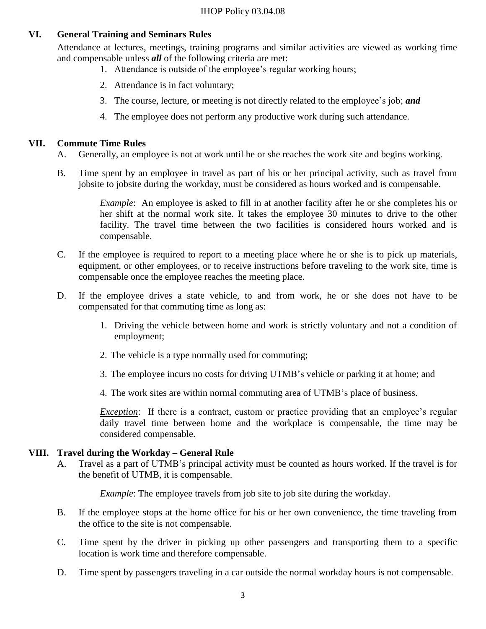# **VI. General Training and Seminars Rules**

Attendance at lectures, meetings, training programs and similar activities are viewed as working time and compensable unless *all* of the following criteria are met:

- 1. Attendance is outside of the employee's regular working hours;
- 2. Attendance is in fact voluntary;
- 3. The course, lecture, or meeting is not directly related to the employee's job; *and*
- 4. The employee does not perform any productive work during such attendance.

## **VII. Commute Time Rules**

- A. Generally, an employee is not at work until he or she reaches the work site and begins working.
- B. Time spent by an employee in travel as part of his or her principal activity, such as travel from jobsite to jobsite during the workday, must be considered as hours worked and is compensable.

*Example*: An employee is asked to fill in at another facility after he or she completes his or her shift at the normal work site. It takes the employee 30 minutes to drive to the other facility. The travel time between the two facilities is considered hours worked and is compensable.

- C. If the employee is required to report to a meeting place where he or she is to pick up materials, equipment, or other employees, or to receive instructions before traveling to the work site, time is compensable once the employee reaches the meeting place.
- D. If the employee drives a state vehicle, to and from work, he or she does not have to be compensated for that commuting time as long as:
	- 1. Driving the vehicle between home and work is strictly voluntary and not a condition of employment;
	- 2. The vehicle is a type normally used for commuting;
	- 3. The employee incurs no costs for driving UTMB's vehicle or parking it at home; and
	- 4. The work sites are within normal commuting area of UTMB's place of business.

*Exception*: If there is a contract, custom or practice providing that an employee's regular daily travel time between home and the workplace is compensable, the time may be considered compensable.

#### **VIII. Travel during the Workday – General Rule**

A. Travel as a part of UTMB's principal activity must be counted as hours worked. If the travel is for the benefit of UTMB, it is compensable.

*Example*: The employee travels from job site to job site during the workday.

- B. If the employee stops at the home office for his or her own convenience, the time traveling from the office to the site is not compensable.
- C. Time spent by the driver in picking up other passengers and transporting them to a specific location is work time and therefore compensable.
- D. Time spent by passengers traveling in a car outside the normal workday hours is not compensable.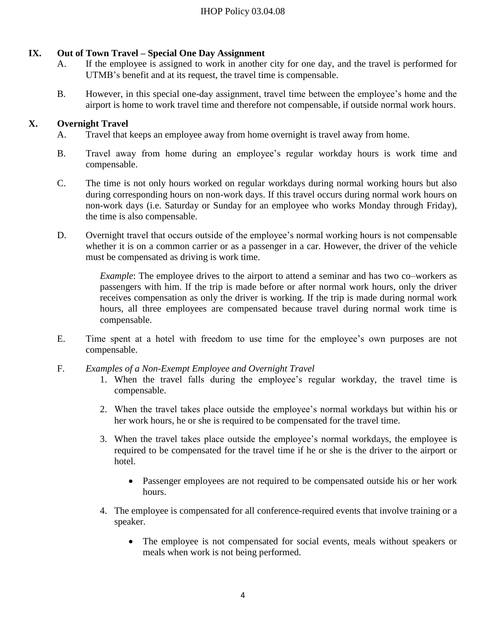# **IX. Out of Town Travel – Special One Day Assignment**

- A. If the employee is assigned to work in another city for one day, and the travel is performed for UTMB's benefit and at its request, the travel time is compensable.
- B. However, in this special one-day assignment, travel time between the employee's home and the airport is home to work travel time and therefore not compensable, if outside normal work hours.

# **X. Overnight Travel**

- A. Travel that keeps an employee away from home overnight is travel away from home.
- B. Travel away from home during an employee's regular workday hours is work time and compensable.
- C. The time is not only hours worked on regular workdays during normal working hours but also during corresponding hours on non-work days. If this travel occurs during normal work hours on non-work days (i.e. Saturday or Sunday for an employee who works Monday through Friday), the time is also compensable.
- D. Overnight travel that occurs outside of the employee's normal working hours is not compensable whether it is on a common carrier or as a passenger in a car. However, the driver of the vehicle must be compensated as driving is work time.

*Example*: The employee drives to the airport to attend a seminar and has two co–workers as passengers with him. If the trip is made before or after normal work hours, only the driver receives compensation as only the driver is working. If the trip is made during normal work hours, all three employees are compensated because travel during normal work time is compensable.

- E. Time spent at a hotel with freedom to use time for the employee's own purposes are not compensable.
- F. *Examples of a Non-Exempt Employee and Overnight Travel*
	- 1. When the travel falls during the employee's regular workday, the travel time is compensable.
	- 2. When the travel takes place outside the employee's normal workdays but within his or her work hours, he or she is required to be compensated for the travel time.
	- 3. When the travel takes place outside the employee's normal workdays, the employee is required to be compensated for the travel time if he or she is the driver to the airport or hotel.
		- Passenger employees are not required to be compensated outside his or her work hours.
	- 4. The employee is compensated for all conference-required events that involve training or a speaker.
		- The employee is not compensated for social events, meals without speakers or meals when work is not being performed.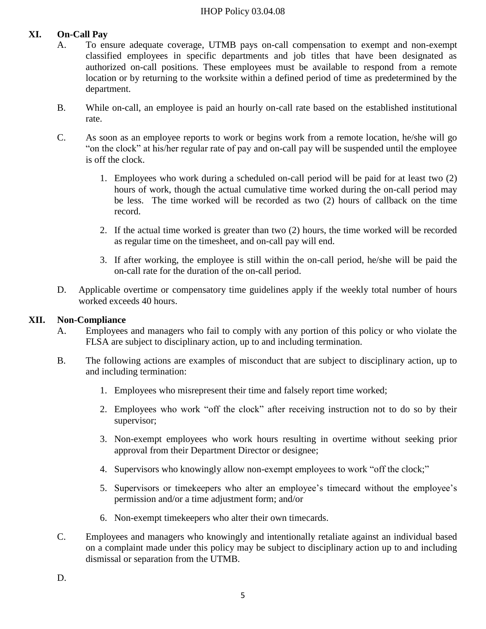### IHOP Policy 03.04.08

# **XI. On-Call Pay**

- A. To ensure adequate coverage, UTMB pays on-call compensation to exempt and non-exempt classified employees in specific departments and job titles that have been designated as authorized on-call positions. These employees must be available to respond from a remote location or by returning to the worksite within a defined period of time as predetermined by the department.
- B. While on-call, an employee is paid an hourly on-call rate based on the established institutional rate.
- C. As soon as an employee reports to work or begins work from a remote location, he/she will go "on the clock" at his/her regular rate of pay and on-call pay will be suspended until the employee is off the clock.
	- 1. Employees who work during a scheduled on-call period will be paid for at least two (2) hours of work, though the actual cumulative time worked during the on-call period may be less. The time worked will be recorded as two (2) hours of callback on the time record.
	- 2. If the actual time worked is greater than two (2) hours, the time worked will be recorded as regular time on the timesheet, and on-call pay will end.
	- 3. If after working, the employee is still within the on-call period, he/she will be paid the on-call rate for the duration of the on-call period.
- D. Applicable overtime or compensatory time guidelines apply if the weekly total number of hours worked exceeds 40 hours.

### **XII. Non-Compliance**

- A. Employees and managers who fail to comply with any portion of this policy or who violate the FLSA are subject to disciplinary action, up to and including termination.
- B. The following actions are examples of misconduct that are subject to disciplinary action, up to and including termination:
	- 1. Employees who misrepresent their time and falsely report time worked;
	- 2. Employees who work "off the clock" after receiving instruction not to do so by their supervisor;
	- 3. Non-exempt employees who work hours resulting in overtime without seeking prior approval from their Department Director or designee;
	- 4. Supervisors who knowingly allow non-exempt employees to work "off the clock;"
	- 5. Supervisors or timekeepers who alter an employee's timecard without the employee's permission and/or a time adjustment form; and/or
	- 6. Non-exempt timekeepers who alter their own timecards.
- C. Employees and managers who knowingly and intentionally retaliate against an individual based on a complaint made under this policy may be subject to disciplinary action up to and including dismissal or separation from the UTMB.